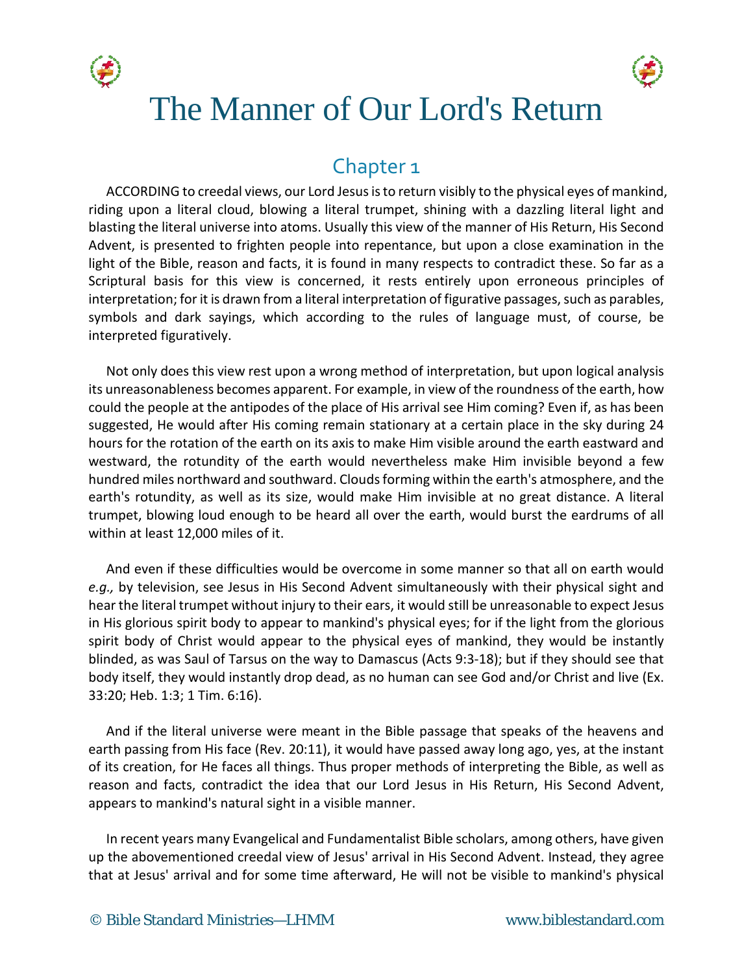



# The Manner of Our Lord's Return

# Chapter 1

ACCORDING to creedal views, our Lord Jesus is to return visibly to the physical eyes of mankind, riding upon a literal cloud, blowing a literal trumpet, shining with a dazzling literal light and blasting the literal universe into atoms. Usually this view of the manner of His Return, His Second Advent, is presented to frighten people into repentance, but upon a close examination in the light of the Bible, reason and facts, it is found in many respects to contradict these. So far as a Scriptural basis for this view is concerned, it rests entirely upon erroneous principles of interpretation; for it is drawn from a literal interpretation of figurative passages, such as parables, symbols and dark sayings, which according to the rules of language must, of course, be interpreted figuratively.

Not only does this view rest upon a wrong method of interpretation, but upon logical analysis its unreasonableness becomes apparent. For example, in view of the roundness of the earth, how could the people at the antipodes of the place of His arrival see Him coming? Even if, as has been suggested, He would after His coming remain stationary at a certain place in the sky during 24 hours for the rotation of the earth on its axis to make Him visible around the earth eastward and westward, the rotundity of the earth would nevertheless make Him invisible beyond a few hundred miles northward and southward. Clouds forming within the earth's atmosphere, and the earth's rotundity, as well as its size, would make Him invisible at no great distance. A literal trumpet, blowing loud enough to be heard all over the earth, would burst the eardrums of all within at least 12,000 miles of it.

And even if these difficulties would be overcome in some manner so that all on earth would *e.g.,* by television, see Jesus in His Second Advent simultaneously with their physical sight and hear the literal trumpet without injury to their ears, it would still be unreasonable to expect Jesus in His glorious spirit body to appear to mankind's physical eyes; for if the light from the glorious spirit body of Christ would appear to the physical eyes of mankind, they would be instantly blinded, as was Saul of Tarsus on the way to Damascus (Acts 9:3-18); but if they should see that body itself, they would instantly drop dead, as no human can see God and/or Christ and live (Ex. 33:20; Heb. 1:3; 1 Tim. 6:16).

And if the literal universe were meant in the Bible passage that speaks of the heavens and earth passing from His face (Rev. 20:11), it would have passed away long ago, yes, at the instant of its creation, for He faces all things. Thus proper methods of interpreting the Bible, as well as reason and facts, contradict the idea that our Lord Jesus in His Return, His Second Advent, appears to mankind's natural sight in a visible manner.

In recent years many Evangelical and Fundamentalist Bible scholars, among others, have given up the abovementioned creedal view of Jesus' arrival in His Second Advent. Instead, they agree that at Jesus' arrival and for some time afterward, He will not be visible to mankind's physical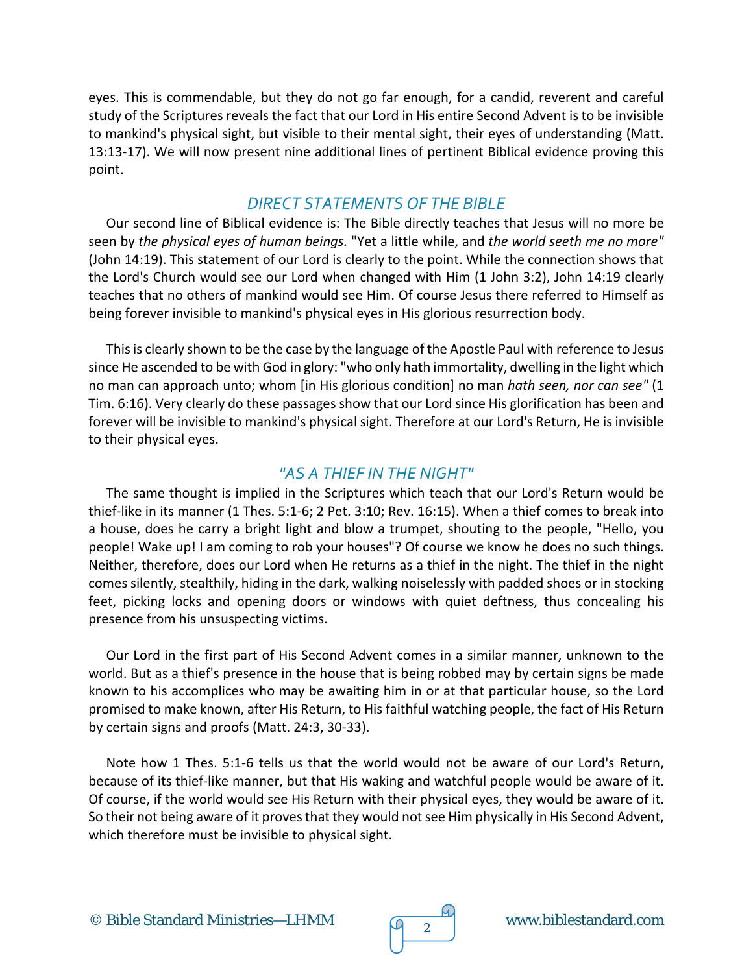eyes. This is commendable, but they do not go far enough, for a candid, reverent and careful study of the Scriptures reveals the fact that our Lord in His entire Second Advent is to be invisible to mankind's physical sight, but visible to their mental sight, their eyes of understanding (Matt. 13:13-17). We will now present nine additional lines of pertinent Biblical evidence proving this point.

#### *DIRECT STATEMENTS OF THE BIBLE*

Our second line of Biblical evidence is: The Bible directly teaches that Jesus will no more be seen by *the physical eyes of human beings.* "Yet a little while, and *the world seeth me no more"*  (John 14:19). This statement of our Lord is clearly to the point. While the connection shows that the Lord's Church would see our Lord when changed with Him (1 John 3:2), John 14:19 clearly teaches that no others of mankind would see Him. Of course Jesus there referred to Himself as being forever invisible to mankind's physical eyes in His glorious resurrection body.

This is clearly shown to be the case by the language of the Apostle Paul with reference to Jesus since He ascended to be with God in glory: "who only hath immortality, dwelling in the light which no man can approach unto; whom [in His glorious condition] no man *hath seen, nor can see"* (1 Tim. 6:16). Very clearly do these passages show that our Lord since His glorification has been and forever will be invisible to mankind's physical sight. Therefore at our Lord's Return, He is invisible to their physical eyes.

#### *"AS A THIEF IN THE NIGHT"*

The same thought is implied in the Scriptures which teach that our Lord's Return would be thief-like in its manner (1 Thes. 5:1-6; 2 Pet. 3:10; Rev. 16:15). When a thief comes to break into a house, does he carry a bright light and blow a trumpet, shouting to the people, "Hello, you people! Wake up! I am coming to rob your houses"? Of course we know he does no such things. Neither, therefore, does our Lord when He returns as a thief in the night. The thief in the night comes silently, stealthily, hiding in the dark, walking noiselessly with padded shoes or in stocking feet, picking locks and opening doors or windows with quiet deftness, thus concealing his presence from his unsuspecting victims.

Our Lord in the first part of His Second Advent comes in a similar manner, unknown to the world. But as a thief's presence in the house that is being robbed may by certain signs be made known to his accomplices who may be awaiting him in or at that particular house, so the Lord promised to make known, after His Return, to His faithful watching people, the fact of His Return by certain signs and proofs (Matt. 24:3, 30-33).

Note how 1 Thes. 5:1-6 tells us that the world would not be aware of our Lord's Return, because of its thief-like manner, but that His waking and watchful people would be aware of it. Of course, if the world would see His Return with their physical eyes, they would be aware of it. So their not being aware of it proves that they would not see Him physically in His Second Advent, which therefore must be invisible to physical sight.

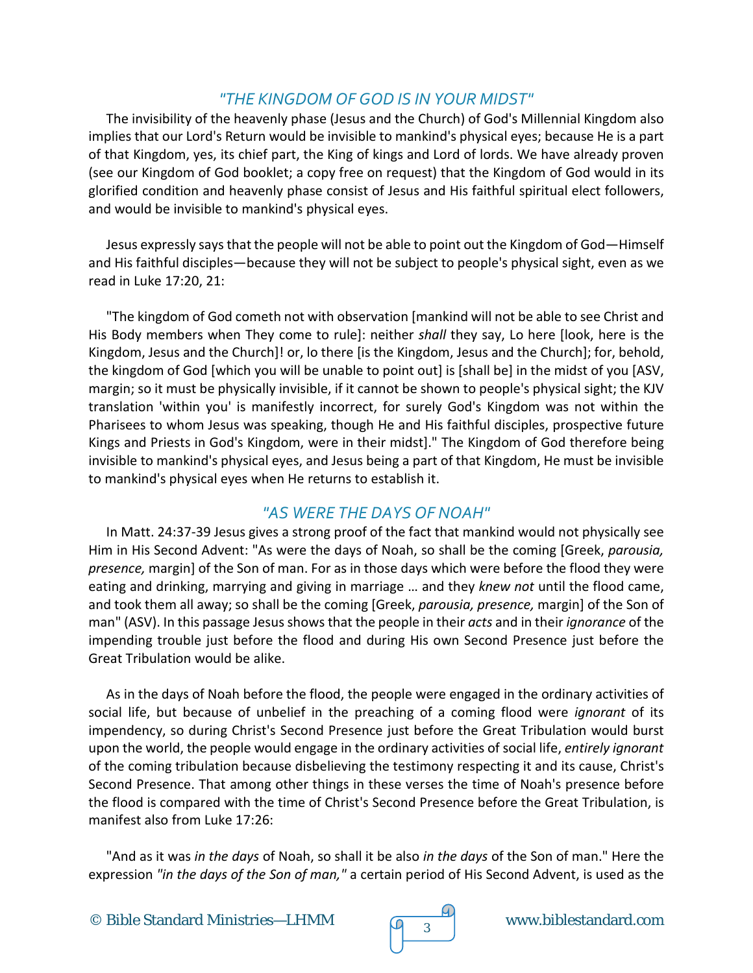# *"THE KINGDOM OF GOD IS IN YOUR MIDST"*

The invisibility of the heavenly phase (Jesus and the Church) of God's Millennial Kingdom also implies that our Lord's Return would be invisible to mankind's physical eyes; because He is a part of that Kingdom, yes, its chief part, the King of kings and Lord of lords. We have already proven (see our Kingdom of God booklet; a copy free on request) that the Kingdom of God would in its glorified condition and heavenly phase consist of Jesus and His faithful spiritual elect followers, and would be invisible to mankind's physical eyes.

Jesus expressly says that the people will not be able to point out the Kingdom of God—Himself and His faithful disciples—because they will not be subject to people's physical sight, even as we read in Luke 17:20, 21:

"The kingdom of God cometh not with observation [mankind will not be able to see Christ and His Body members when They come to rule]: neither *shall* they say, Lo here [look, here is the Kingdom, Jesus and the Church]! or, lo there [is the Kingdom, Jesus and the Church]; for, behold, the kingdom of God [which you will be unable to point out] is [shall be] in the midst of you [ASV, margin; so it must be physically invisible, if it cannot be shown to people's physical sight; the KJV translation 'within you' is manifestly incorrect, for surely God's Kingdom was not within the Pharisees to whom Jesus was speaking, though He and His faithful disciples, prospective future Kings and Priests in God's Kingdom, were in their midst]." The Kingdom of God therefore being invisible to mankind's physical eyes, and Jesus being a part of that Kingdom, He must be invisible to mankind's physical eyes when He returns to establish it.

# *"AS WERE THE DAYS OF NOAH"*

In Matt. 24:37-39 Jesus gives a strong proof of the fact that mankind would not physically see Him in His Second Advent: "As were the days of Noah, so shall be the coming [Greek, *parousia, presence,* margin] of the Son of man. For as in those days which were before the flood they were eating and drinking, marrying and giving in marriage … and they *knew not* until the flood came, and took them all away; so shall be the coming [Greek, *parousia, presence,* margin] of the Son of man" (ASV). In this passage Jesus shows that the people in their *acts* and in their *ignorance* of the impending trouble just before the flood and during His own Second Presence just before the Great Tribulation would be alike.

As in the days of Noah before the flood, the people were engaged in the ordinary activities of social life, but because of unbelief in the preaching of a coming flood were *ignorant* of its impendency, so during Christ's Second Presence just before the Great Tribulation would burst upon the world, the people would engage in the ordinary activities of social life, *entirely ignorant*  of the coming tribulation because disbelieving the testimony respecting it and its cause, Christ's Second Presence. That among other things in these verses the time of Noah's presence before the flood is compared with the time of Christ's Second Presence before the Great Tribulation, is manifest also from Luke 17:26:

"And as it was *in the days* of Noah, so shall it be also *in the days* of the Son of man." Here the expression *"in the days of the Son of man,"* a certain period of His Second Advent, is used as the



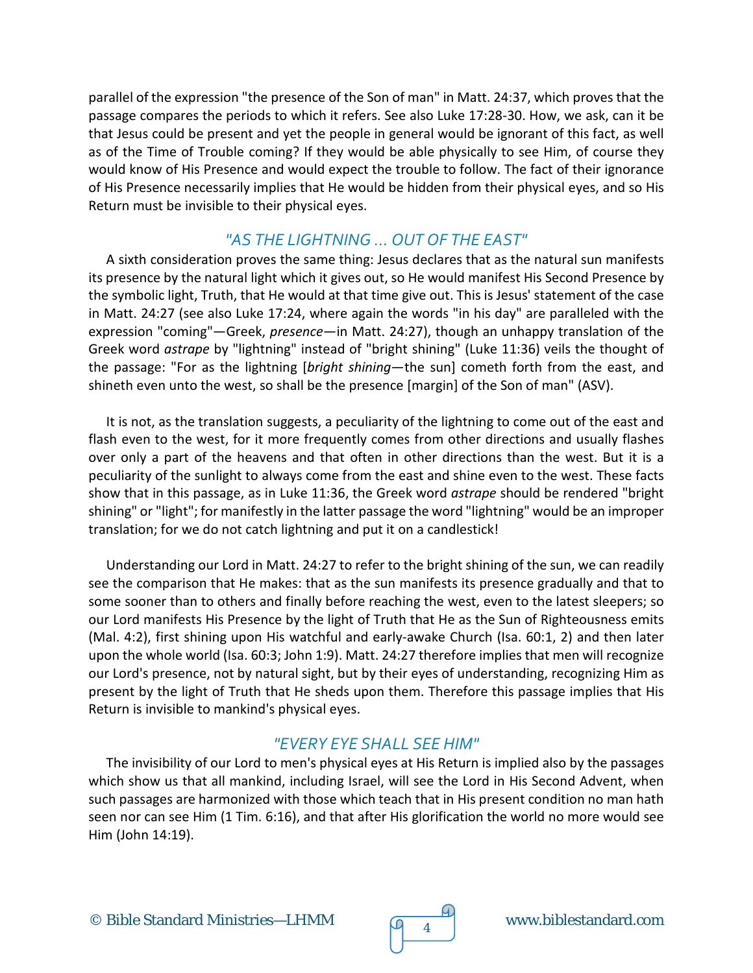parallel of the expression "the presence of the Son of man" in Matt. 24:37, which proves that the passage compares the periods to which it refers. See also Luke 17:28-30. How, we ask, can it be that Jesus could be present and yet the people in general would be ignorant of this fact, as well as of the Time of Trouble coming? If they would be able physically to see Him, of course they would know of His Presence and would expect the trouble to follow. The fact of their ignorance of His Presence necessarily implies that He would be hidden from their physical eyes, and so His Return must be invisible to their physical eyes.

## *"AS THE LIGHTNING … OUT OF THE EAST"*

A sixth consideration proves the same thing: Jesus declares that as the natural sun manifests its presence by the natural light which it gives out, so He would manifest His Second Presence by the symbolic light, Truth, that He would at that time give out. This is Jesus' statement of the case in Matt. 24:27 (see also Luke 17:24, where again the words "in his day" are paralleled with the expression "coming"—Greek, *presence*—in Matt. 24:27), though an unhappy translation of the Greek word *astrape* by "lightning" instead of "bright shining" (Luke 11:36) veils the thought of the passage: "For as the lightning [*bright shining*—the sun] cometh forth from the east, and shineth even unto the west, so shall be the presence [margin] of the Son of man" (ASV).

It is not, as the translation suggests, a peculiarity of the lightning to come out of the east and flash even to the west, for it more frequently comes from other directions and usually flashes over only a part of the heavens and that often in other directions than the west. But it is a peculiarity of the sunlight to always come from the east and shine even to the west. These facts show that in this passage, as in Luke 11:36, the Greek word *astrape* should be rendered "bright shining" or "light"; for manifestly in the latter passage the word "lightning" would be an improper translation; for we do not catch lightning and put it on a candlestick!

Understanding our Lord in Matt. 24:27 to refer to the bright shining of the sun, we can readily see the comparison that He makes: that as the sun manifests its presence gradually and that to some sooner than to others and finally before reaching the west, even to the latest sleepers; so our Lord manifests His Presence by the light of Truth that He as the Sun of Righteousness emits (Mal. 4:2), first shining upon His watchful and early-awake Church (Isa. 60:1, 2) and then later upon the whole world (Isa. 60:3; John 1:9). Matt. 24:27 therefore implies that men will recognize our Lord's presence, not by natural sight, but by their eyes of understanding, recognizing Him as present by the light of Truth that He sheds upon them. Therefore this passage implies that His Return is invisible to mankind's physical eyes.

# *"EVERY EYE SHALL SEE HIM"*

The invisibility of our Lord to men's physical eyes at His Return is implied also by the passages which show us that all mankind, including Israel, will see the Lord in His Second Advent, when such passages are harmonized with those which teach that in His present condition no man hath seen nor can see Him (1 Tim. 6:16), and that after His glorification the world no more would see Him (John 14:19).

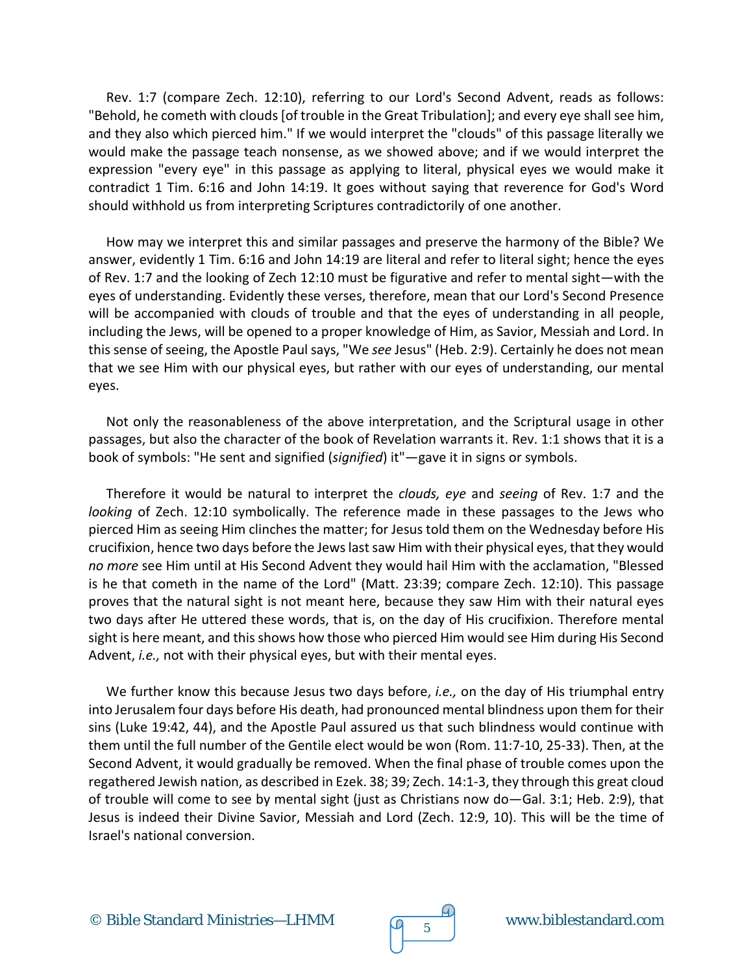Rev. 1:7 (compare Zech. 12:10), referring to our Lord's Second Advent, reads as follows: "Behold, he cometh with clouds [of trouble in the Great Tribulation]; and every eye shall see him, and they also which pierced him." If we would interpret the "clouds" of this passage literally we would make the passage teach nonsense, as we showed above; and if we would interpret the expression "every eye" in this passage as applying to literal, physical eyes we would make it contradict 1 Tim. 6:16 and John 14:19. It goes without saying that reverence for God's Word should withhold us from interpreting Scriptures contradictorily of one another.

How may we interpret this and similar passages and preserve the harmony of the Bible? We answer, evidently 1 Tim. 6:16 and John 14:19 are literal and refer to literal sight; hence the eyes of Rev. 1:7 and the looking of Zech 12:10 must be figurative and refer to mental sight—with the eyes of understanding. Evidently these verses, therefore, mean that our Lord's Second Presence will be accompanied with clouds of trouble and that the eyes of understanding in all people, including the Jews, will be opened to a proper knowledge of Him, as Savior, Messiah and Lord. In this sense of seeing, the Apostle Paul says, "We *see* Jesus" (Heb. 2:9). Certainly he does not mean that we see Him with our physical eyes, but rather with our eyes of understanding, our mental eyes.

Not only the reasonableness of the above interpretation, and the Scriptural usage in other passages, but also the character of the book of Revelation warrants it. Rev. 1:1 shows that it is a book of symbols: "He sent and signified (*signified*) it"—gave it in signs or symbols.

Therefore it would be natural to interpret the *clouds, eye* and *seeing* of Rev. 1:7 and the *looking* of Zech. 12:10 symbolically. The reference made in these passages to the Jews who pierced Him as seeing Him clinches the matter; for Jesus told them on the Wednesday before His crucifixion, hence two days before the Jews last saw Him with their physical eyes, that they would *no more* see Him until at His Second Advent they would hail Him with the acclamation, "Blessed is he that cometh in the name of the Lord" (Matt. 23:39; compare Zech. 12:10). This passage proves that the natural sight is not meant here, because they saw Him with their natural eyes two days after He uttered these words, that is, on the day of His crucifixion. Therefore mental sight is here meant, and this shows how those who pierced Him would see Him during His Second Advent, *i.e.,* not with their physical eyes, but with their mental eyes.

We further know this because Jesus two days before, *i.e.,* on the day of His triumphal entry into Jerusalem four days before His death, had pronounced mental blindness upon them for their sins (Luke 19:42, 44), and the Apostle Paul assured us that such blindness would continue with them until the full number of the Gentile elect would be won (Rom. 11:7-10, 25-33). Then, at the Second Advent, it would gradually be removed. When the final phase of trouble comes upon the regathered Jewish nation, as described in Ezek. 38; 39; Zech. 14:1-3, they through this great cloud of trouble will come to see by mental sight (just as Christians now do—Gal. 3:1; Heb. 2:9), that Jesus is indeed their Divine Savior, Messiah and Lord (Zech. 12:9, 10). This will be the time of Israel's national conversion.

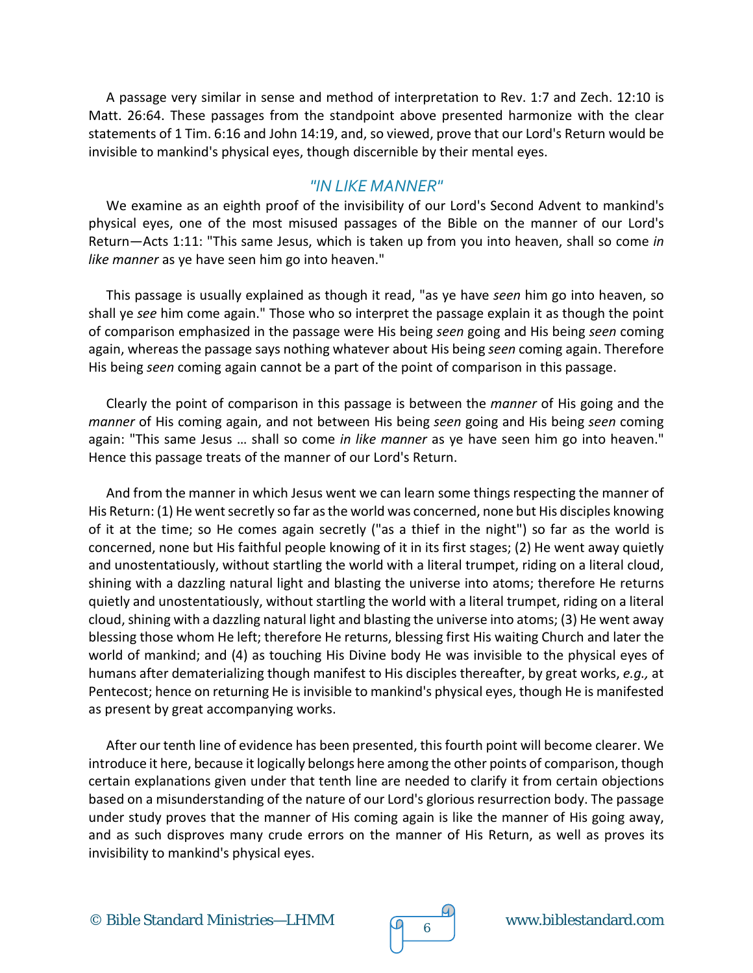A passage very similar in sense and method of interpretation to Rev. 1:7 and Zech. 12:10 is Matt. 26:64. These passages from the standpoint above presented harmonize with the clear statements of 1 Tim. 6:16 and John 14:19, and, so viewed, prove that our Lord's Return would be invisible to mankind's physical eyes, though discernible by their mental eyes.

#### *"IN LIKE MANNER"*

We examine as an eighth proof of the invisibility of our Lord's Second Advent to mankind's physical eyes, one of the most misused passages of the Bible on the manner of our Lord's Return—Acts 1:11: "This same Jesus, which is taken up from you into heaven, shall so come *in like manner* as ye have seen him go into heaven."

This passage is usually explained as though it read, "as ye have *seen* him go into heaven, so shall ye *see* him come again." Those who so interpret the passage explain it as though the point of comparison emphasized in the passage were His being *seen* going and His being *seen* coming again, whereas the passage says nothing whatever about His being *seen* coming again. Therefore His being *seen* coming again cannot be a part of the point of comparison in this passage.

Clearly the point of comparison in this passage is between the *manner* of His going and the *manner* of His coming again, and not between His being *seen* going and His being *seen* coming again: "This same Jesus … shall so come *in like manner* as ye have seen him go into heaven." Hence this passage treats of the manner of our Lord's Return.

And from the manner in which Jesus went we can learn some things respecting the manner of His Return: (1) He went secretly so far as the world was concerned, none but His disciples knowing of it at the time; so He comes again secretly ("as a thief in the night") so far as the world is concerned, none but His faithful people knowing of it in its first stages; (2) He went away quietly and unostentatiously, without startling the world with a literal trumpet, riding on a literal cloud, shining with a dazzling natural light and blasting the universe into atoms; therefore He returns quietly and unostentatiously, without startling the world with a literal trumpet, riding on a literal cloud, shining with a dazzling natural light and blasting the universe into atoms; (3) He went away blessing those whom He left; therefore He returns, blessing first His waiting Church and later the world of mankind; and (4) as touching His Divine body He was invisible to the physical eyes of humans after dematerializing though manifest to His disciples thereafter, by great works, *e.g.,* at Pentecost; hence on returning He is invisible to mankind's physical eyes, though He is manifested as present by great accompanying works.

After our tenth line of evidence has been presented, this fourth point will become clearer. We introduce it here, because it logically belongs here among the other points of comparison, though certain explanations given under that tenth line are needed to clarify it from certain objections based on a misunderstanding of the nature of our Lord's glorious resurrection body. The passage under study proves that the manner of His coming again is like the manner of His going away, and as such disproves many crude errors on the manner of His Return, as well as proves its invisibility to mankind's physical eyes.

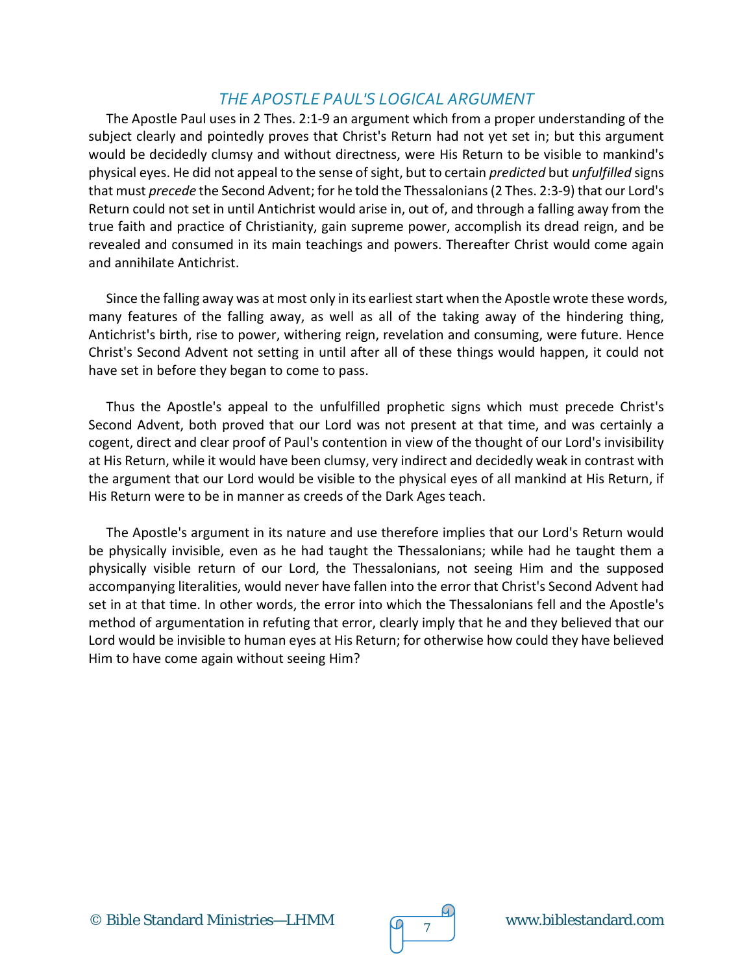## *THE APOSTLE PAUL'S LOGICAL ARGUMENT*

The Apostle Paul uses in 2 Thes. 2:1-9 an argument which from a proper understanding of the subject clearly and pointedly proves that Christ's Return had not yet set in; but this argument would be decidedly clumsy and without directness, were His Return to be visible to mankind's physical eyes. He did not appeal to the sense of sight, but to certain *predicted* but *unfulfilled* signs that must *precede* the Second Advent; for he told the Thessalonians (2 Thes. 2:3-9) that our Lord's Return could not set in until Antichrist would arise in, out of, and through a falling away from the true faith and practice of Christianity, gain supreme power, accomplish its dread reign, and be revealed and consumed in its main teachings and powers. Thereafter Christ would come again and annihilate Antichrist.

Since the falling away was at most only in its earliest start when the Apostle wrote these words, many features of the falling away, as well as all of the taking away of the hindering thing, Antichrist's birth, rise to power, withering reign, revelation and consuming, were future. Hence Christ's Second Advent not setting in until after all of these things would happen, it could not have set in before they began to come to pass.

Thus the Apostle's appeal to the unfulfilled prophetic signs which must precede Christ's Second Advent, both proved that our Lord was not present at that time, and was certainly a cogent, direct and clear proof of Paul's contention in view of the thought of our Lord's invisibility at His Return, while it would have been clumsy, very indirect and decidedly weak in contrast with the argument that our Lord would be visible to the physical eyes of all mankind at His Return, if His Return were to be in manner as creeds of the Dark Ages teach.

The Apostle's argument in its nature and use therefore implies that our Lord's Return would be physically invisible, even as he had taught the Thessalonians; while had he taught them a physically visible return of our Lord, the Thessalonians, not seeing Him and the supposed accompanying literalities, would never have fallen into the error that Christ's Second Advent had set in at that time. In other words, the error into which the Thessalonians fell and the Apostle's method of argumentation in refuting that error, clearly imply that he and they believed that our Lord would be invisible to human eyes at His Return; for otherwise how could they have believed Him to have come again without seeing Him?



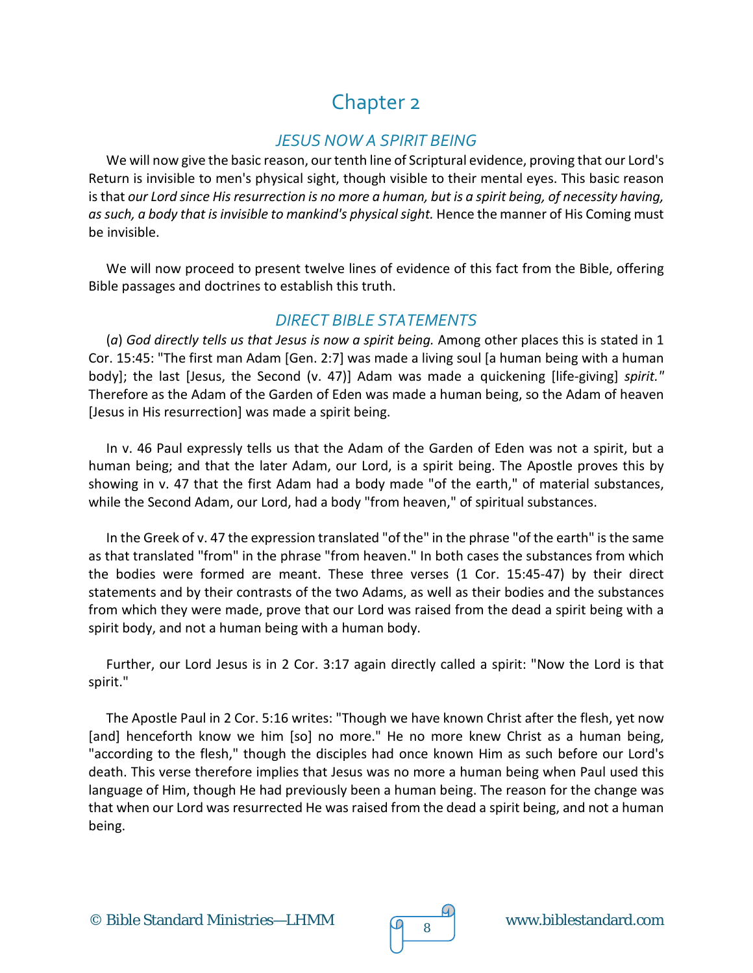# Chapter 2

## *JESUS NOW A SPIRIT BEING*

We will now give the basic reason, our tenth line of Scriptural evidence, proving that our Lord's Return is invisible to men's physical sight, though visible to their mental eyes. This basic reason is that *our Lord since His resurrection is no more a human, but is a spirit being, of necessity having, as such, a body that is invisible to mankind's physical sight.* Hence the manner of His Coming must be invisible.

We will now proceed to present twelve lines of evidence of this fact from the Bible, offering Bible passages and doctrines to establish this truth.

#### *DIRECT BIBLE STATEMENTS*

(*a*) *God directly tells us that Jesus is now a spirit being.* Among other places this is stated in 1 Cor. 15:45: "The first man Adam [Gen. 2:7] was made a living soul [a human being with a human body]; the last [Jesus, the Second (v. 47)] Adam was made a quickening [life-giving] *spirit."*  Therefore as the Adam of the Garden of Eden was made a human being, so the Adam of heaven [Jesus in His resurrection] was made a spirit being.

In v. 46 Paul expressly tells us that the Adam of the Garden of Eden was not a spirit, but a human being; and that the later Adam, our Lord, is a spirit being. The Apostle proves this by showing in v. 47 that the first Adam had a body made "of the earth," of material substances, while the Second Adam, our Lord, had a body "from heaven," of spiritual substances.

In the Greek of v. 47 the expression translated "of the" in the phrase "of the earth" is the same as that translated "from" in the phrase "from heaven." In both cases the substances from which the bodies were formed are meant. These three verses (1 Cor. 15:45-47) by their direct statements and by their contrasts of the two Adams, as well as their bodies and the substances from which they were made, prove that our Lord was raised from the dead a spirit being with a spirit body, and not a human being with a human body.

Further, our Lord Jesus is in 2 Cor. 3:17 again directly called a spirit: "Now the Lord is that spirit."

The Apostle Paul in 2 Cor. 5:16 writes: "Though we have known Christ after the flesh, yet now [and] henceforth know we him [so] no more." He no more knew Christ as a human being, "according to the flesh," though the disciples had once known Him as such before our Lord's death. This verse therefore implies that Jesus was no more a human being when Paul used this language of Him, though He had previously been a human being. The reason for the change was that when our Lord was resurrected He was raised from the dead a spirit being, and not a human being.

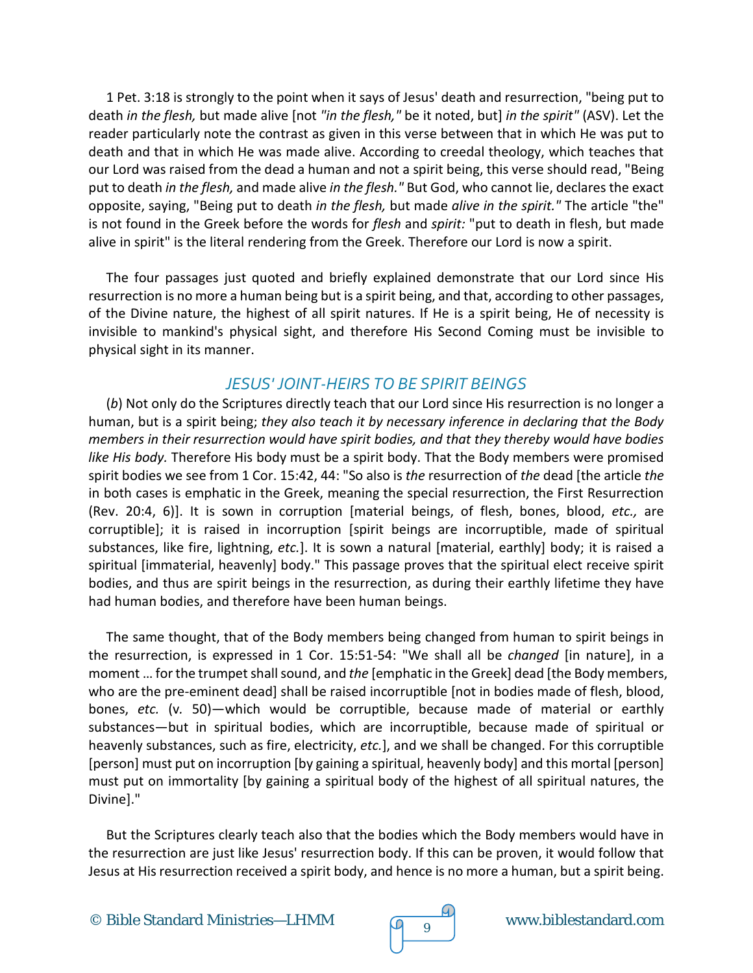1 Pet. 3:18 is strongly to the point when it says of Jesus' death and resurrection, "being put to death *in the flesh,* but made alive [not *"in the flesh,"* be it noted, but] *in the spirit"* (ASV). Let the reader particularly note the contrast as given in this verse between that in which He was put to death and that in which He was made alive. According to creedal theology, which teaches that our Lord was raised from the dead a human and not a spirit being, this verse should read, "Being put to death *in the flesh,* and made alive *in the flesh."* But God, who cannot lie, declares the exact opposite, saying, "Being put to death *in the flesh,* but made *alive in the spirit."* The article "the" is not found in the Greek before the words for *flesh* and *spirit:* "put to death in flesh, but made alive in spirit" is the literal rendering from the Greek. Therefore our Lord is now a spirit.

The four passages just quoted and briefly explained demonstrate that our Lord since His resurrection is no more a human being but is a spirit being, and that, according to other passages, of the Divine nature, the highest of all spirit natures. If He is a spirit being, He of necessity is invisible to mankind's physical sight, and therefore His Second Coming must be invisible to physical sight in its manner.

#### *JESUS' JOINT-HEIRS TO BE SPIRIT BEINGS*

(*b*) Not only do the Scriptures directly teach that our Lord since His resurrection is no longer a human, but is a spirit being; *they also teach it by necessary inference in declaring that the Body members in their resurrection would have spirit bodies, and that they thereby would have bodies like His body.* Therefore His body must be a spirit body. That the Body members were promised spirit bodies we see from 1 Cor. 15:42, 44: "So also is *the* resurrection of *the* dead [the article *the*  in both cases is emphatic in the Greek, meaning the special resurrection, the First Resurrection (Rev. 20:4, 6)]. It is sown in corruption [material beings, of flesh, bones, blood, *etc.,* are corruptible]; it is raised in incorruption [spirit beings are incorruptible, made of spiritual substances, like fire, lightning, *etc.*]. It is sown a natural [material, earthly] body; it is raised a spiritual [immaterial, heavenly] body." This passage proves that the spiritual elect receive spirit bodies, and thus are spirit beings in the resurrection, as during their earthly lifetime they have had human bodies, and therefore have been human beings.

The same thought, that of the Body members being changed from human to spirit beings in the resurrection, is expressed in 1 Cor. 15:51-54: "We shall all be *changed* [in nature], in a moment … for the trumpet shall sound, and *the* [emphatic in the Greek] dead [the Body members, who are the pre-eminent dead] shall be raised incorruptible [not in bodies made of flesh, blood, bones, *etc.* (v*.* 50)—which would be corruptible, because made of material or earthly substances—but in spiritual bodies, which are incorruptible, because made of spiritual or heavenly substances, such as fire, electricity, *etc.*], and we shall be changed. For this corruptible [person] must put on incorruption [by gaining a spiritual, heavenly body] and this mortal [person] must put on immortality [by gaining a spiritual body of the highest of all spiritual natures, the Divine]."

But the Scriptures clearly teach also that the bodies which the Body members would have in the resurrection are just like Jesus' resurrection body. If this can be proven, it would follow that Jesus at His resurrection received a spirit body, and hence is no more a human, but a spirit being.

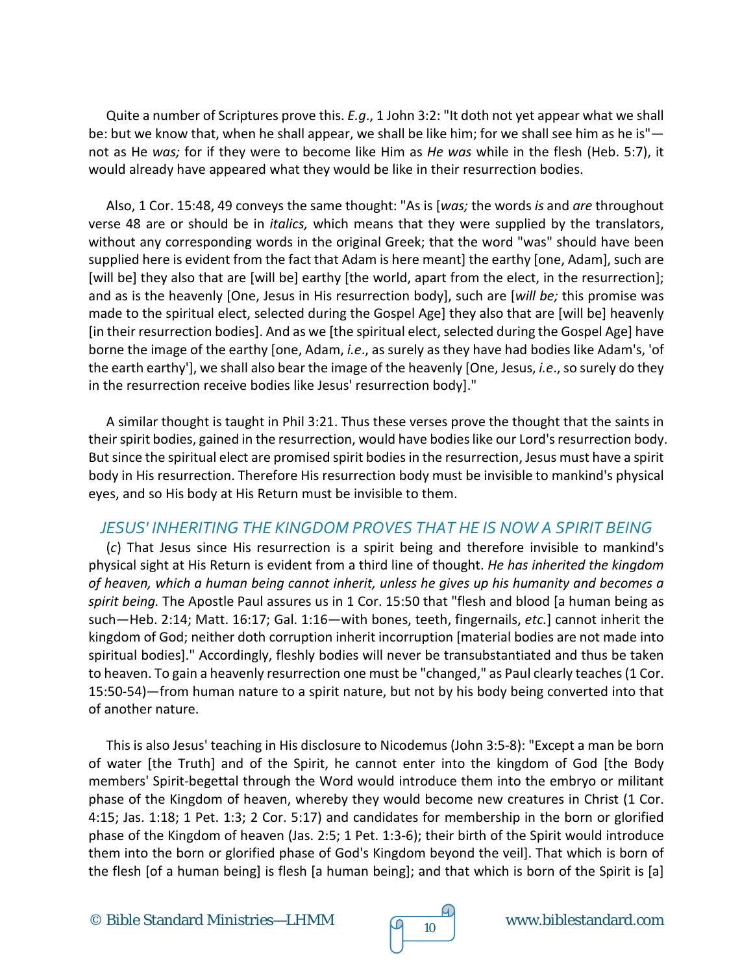Quite a number of Scriptures prove this. *E.g*., 1 John 3:2: "It doth not yet appear what we shall be: but we know that, when he shall appear, we shall be like him; for we shall see him as he is" not as He *was;* for if they were to become like Him as *He was* while in the flesh (Heb. 5:7), it would already have appeared what they would be like in their resurrection bodies.

Also, 1 Cor. 15:48, 49 conveys the same thought: "As is [*was;* the words *is* and *are* throughout verse 48 are or should be in *italics,* which means that they were supplied by the translators, without any corresponding words in the original Greek; that the word "was" should have been supplied here is evident from the fact that Adam is here meant] the earthy [one, Adam], such are [will be] they also that are [will be] earthy [the world, apart from the elect, in the resurrection]; and as is the heavenly [One, Jesus in His resurrection body], such are [*will be;* this promise was made to the spiritual elect, selected during the Gospel Age] they also that are [will be] heavenly [in their resurrection bodies]. And as we [the spiritual elect, selected during the Gospel Age] have borne the image of the earthy [one, Adam, *i.e*., as surely as they have had bodies like Adam's, 'of the earth earthy'], we shall also bear the image of the heavenly [One, Jesus, *i.e*., so surely do they in the resurrection receive bodies like Jesus' resurrection body]."

A similar thought is taught in Phil 3:21. Thus these verses prove the thought that the saints in their spirit bodies, gained in the resurrection, would have bodies like our Lord's resurrection body. But since the spiritual elect are promised spirit bodies in the resurrection, Jesus must have a spirit body in His resurrection. Therefore His resurrection body must be invisible to mankind's physical eyes, and so His body at His Return must be invisible to them.

#### *JESUS' INHERITING THE KINGDOM PROVES THAT HE IS NOW A SPIRIT BEING*

(*c*) That Jesus since His resurrection is a spirit being and therefore invisible to mankind's physical sight at His Return is evident from a third line of thought. *He has inherited the kingdom of heaven, which a human being cannot inherit, unless he gives up his humanity and becomes a spirit being.* The Apostle Paul assures us in 1 Cor. 15:50 that "flesh and blood [a human being as such—Heb. 2:14; Matt. 16:17; Gal. 1:16—with bones, teeth, fingernails, *etc.*] cannot inherit the kingdom of God; neither doth corruption inherit incorruption [material bodies are not made into spiritual bodies]." Accordingly, fleshly bodies will never be transubstantiated and thus be taken to heaven. To gain a heavenly resurrection one must be "changed," as Paul clearly teaches (1 Cor. 15:50-54)—from human nature to a spirit nature, but not by his body being converted into that of another nature.

This is also Jesus' teaching in His disclosure to Nicodemus (John 3:5-8): "Except a man be born of water [the Truth] and of the Spirit, he cannot enter into the kingdom of God [the Body members' Spirit-begettal through the Word would introduce them into the embryo or militant phase of the Kingdom of heaven, whereby they would become new creatures in Christ (1 Cor. 4:15; Jas. 1:18; 1 Pet. 1:3; 2 Cor. 5:17) and candidates for membership in the born or glorified phase of the Kingdom of heaven (Jas. 2:5; 1 Pet. 1:3-6); their birth of the Spirit would introduce them into the born or glorified phase of God's Kingdom beyond the veil]. That which is born of the flesh [of a human being] is flesh [a human being]; and that which is born of the Spirit is [a]

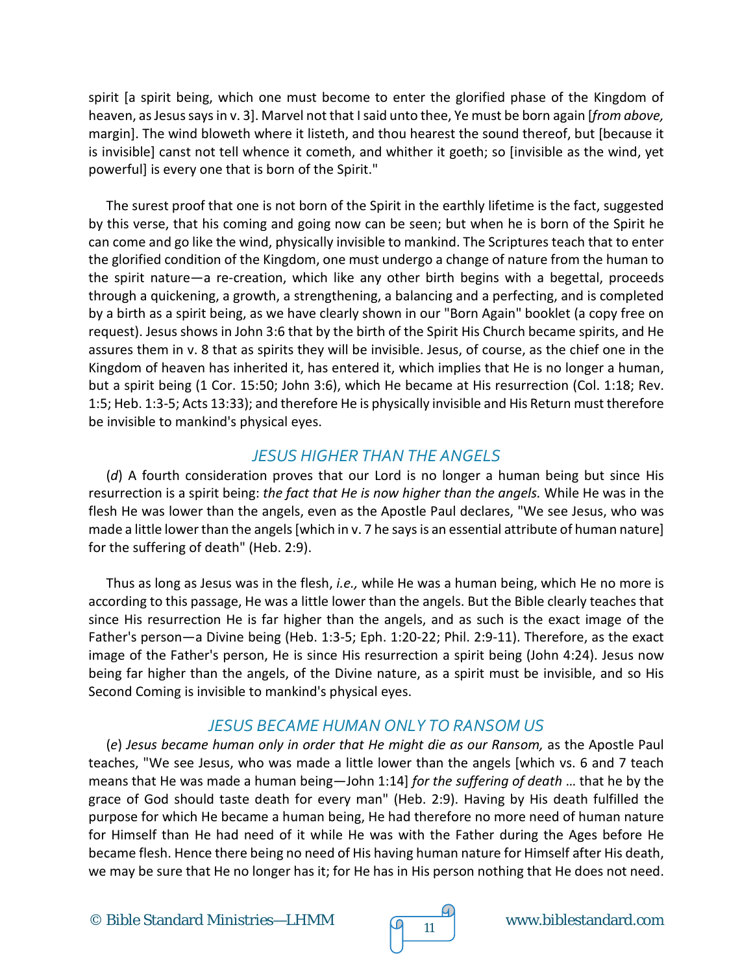spirit [a spirit being, which one must become to enter the glorified phase of the Kingdom of heaven, as Jesus says in v. 3]. Marvel not that I said unto thee, Ye must be born again [*from above,*  margin]. The wind bloweth where it listeth, and thou hearest the sound thereof, but [because it is invisible] canst not tell whence it cometh, and whither it goeth; so [invisible as the wind, yet powerful] is every one that is born of the Spirit."

The surest proof that one is not born of the Spirit in the earthly lifetime is the fact, suggested by this verse, that his coming and going now can be seen; but when he is born of the Spirit he can come and go like the wind, physically invisible to mankind. The Scriptures teach that to enter the glorified condition of the Kingdom, one must undergo a change of nature from the human to the spirit nature—a re-creation, which like any other birth begins with a begettal, proceeds through a quickening, a growth, a strengthening, a balancing and a perfecting, and is completed by a birth as a spirit being, as we have clearly shown in our "Born Again" booklet (a copy free on request). Jesus shows in John 3:6 that by the birth of the Spirit His Church became spirits, and He assures them in v. 8 that as spirits they will be invisible. Jesus, of course, as the chief one in the Kingdom of heaven has inherited it, has entered it, which implies that He is no longer a human, but a spirit being (1 Cor. 15:50; John 3:6), which He became at His resurrection (Col. 1:18; Rev. 1:5; Heb. 1:3-5; Acts 13:33); and therefore He is physically invisible and His Return must therefore be invisible to mankind's physical eyes.

## *JESUS HIGHER THAN THE ANGELS*

(*d*) A fourth consideration proves that our Lord is no longer a human being but since His resurrection is a spirit being: *the fact that He is now higher than the angels.* While He was in the flesh He was lower than the angels, even as the Apostle Paul declares, "We see Jesus, who was made a little lower than the angels [which in v. 7 he says is an essential attribute of human nature] for the suffering of death" (Heb. 2:9).

Thus as long as Jesus was in the flesh, *i.e.,* while He was a human being, which He no more is according to this passage, He was a little lower than the angels. But the Bible clearly teaches that since His resurrection He is far higher than the angels, and as such is the exact image of the Father's person—a Divine being (Heb. 1:3-5; Eph. 1:20-22; Phil. 2:9-11). Therefore, as the exact image of the Father's person, He is since His resurrection a spirit being (John 4:24). Jesus now being far higher than the angels, of the Divine nature, as a spirit must be invisible, and so His Second Coming is invisible to mankind's physical eyes.

#### *JESUS BECAME HUMAN ONLY TO RANSOM US*

(*e*) *Jesus became human only in order that He might die as our Ransom,* as the Apostle Paul teaches, "We see Jesus, who was made a little lower than the angels [which vs. 6 and 7 teach means that He was made a human being—John 1:14] *for the suffering of death* … that he by the grace of God should taste death for every man" (Heb. 2:9). Having by His death fulfilled the purpose for which He became a human being, He had therefore no more need of human nature for Himself than He had need of it while He was with the Father during the Ages before He became flesh. Hence there being no need of His having human nature for Himself after His death, we may be sure that He no longer has it; for He has in His person nothing that He does not need.

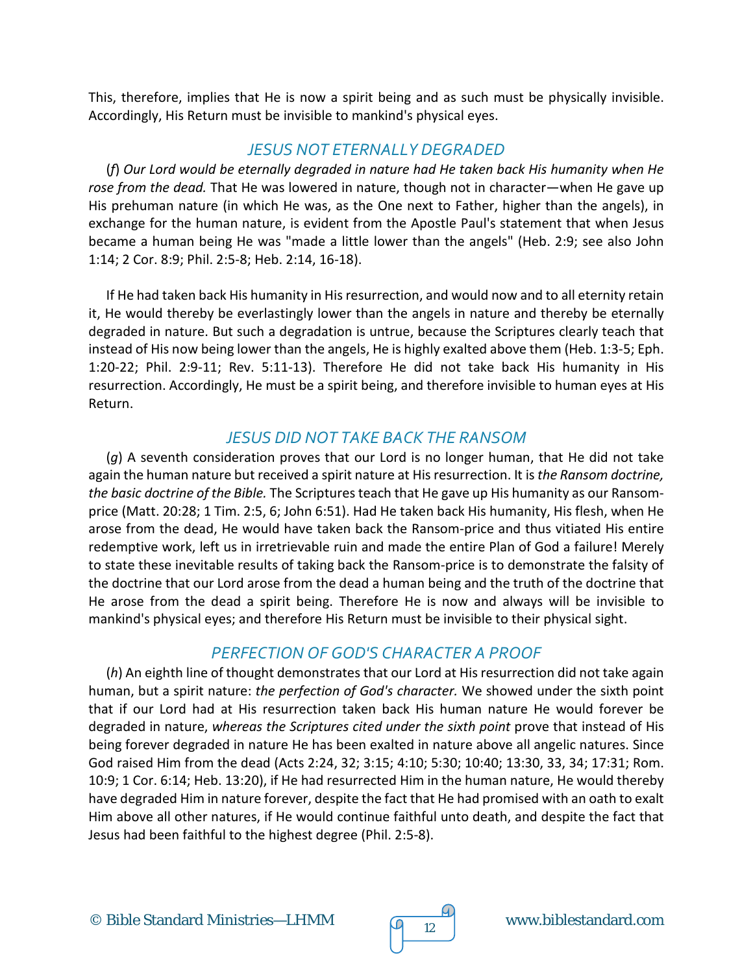This, therefore, implies that He is now a spirit being and as such must be physically invisible. Accordingly, His Return must be invisible to mankind's physical eyes.

#### *JESUS NOT ETERNALLY DEGRADED*

(*f*) *Our Lord would be eternally degraded in nature had He taken back His humanity when He rose from the dead.* That He was lowered in nature, though not in character—when He gave up His prehuman nature (in which He was, as the One next to Father, higher than the angels), in exchange for the human nature, is evident from the Apostle Paul's statement that when Jesus became a human being He was "made a little lower than the angels" (Heb. 2:9; see also John 1:14; 2 Cor. 8:9; Phil. 2:5-8; Heb. 2:14, 16-18).

If He had taken back His humanity in His resurrection, and would now and to all eternity retain it, He would thereby be everlastingly lower than the angels in nature and thereby be eternally degraded in nature. But such a degradation is untrue, because the Scriptures clearly teach that instead of His now being lower than the angels, He is highly exalted above them (Heb. 1:3-5; Eph. 1:20-22; Phil. 2:9-11; Rev. 5:11-13). Therefore He did not take back His humanity in His resurrection. Accordingly, He must be a spirit being, and therefore invisible to human eyes at His Return.

## *JESUS DID NOT TAKE BACK THE RANSOM*

(*g*) A seventh consideration proves that our Lord is no longer human, that He did not take again the human nature but received a spirit nature at His resurrection. It is *the Ransom doctrine, the basic doctrine of the Bible.* The Scriptures teach that He gave up His humanity as our Ransomprice (Matt. 20:28; 1 Tim. 2:5, 6; John 6:51). Had He taken back His humanity, His flesh, when He arose from the dead, He would have taken back the Ransom-price and thus vitiated His entire redemptive work, left us in irretrievable ruin and made the entire Plan of God a failure! Merely to state these inevitable results of taking back the Ransom-price is to demonstrate the falsity of the doctrine that our Lord arose from the dead a human being and the truth of the doctrine that He arose from the dead a spirit being. Therefore He is now and always will be invisible to mankind's physical eyes; and therefore His Return must be invisible to their physical sight.

#### *PERFECTION OF GOD'S CHARACTER A PROOF*

(*h*) An eighth line of thought demonstrates that our Lord at His resurrection did not take again human, but a spirit nature: *the perfection of God's character.* We showed under the sixth point that if our Lord had at His resurrection taken back His human nature He would forever be degraded in nature, *whereas the Scriptures cited under the sixth point* prove that instead of His being forever degraded in nature He has been exalted in nature above all angelic natures. Since God raised Him from the dead (Acts 2:24, 32; 3:15; 4:10; 5:30; 10:40; 13:30, 33, 34; 17:31; Rom. 10:9; 1 Cor. 6:14; Heb. 13:20), if He had resurrected Him in the human nature, He would thereby have degraded Him in nature forever, despite the fact that He had promised with an oath to exalt Him above all other natures, if He would continue faithful unto death, and despite the fact that Jesus had been faithful to the highest degree (Phil. 2:5-8).

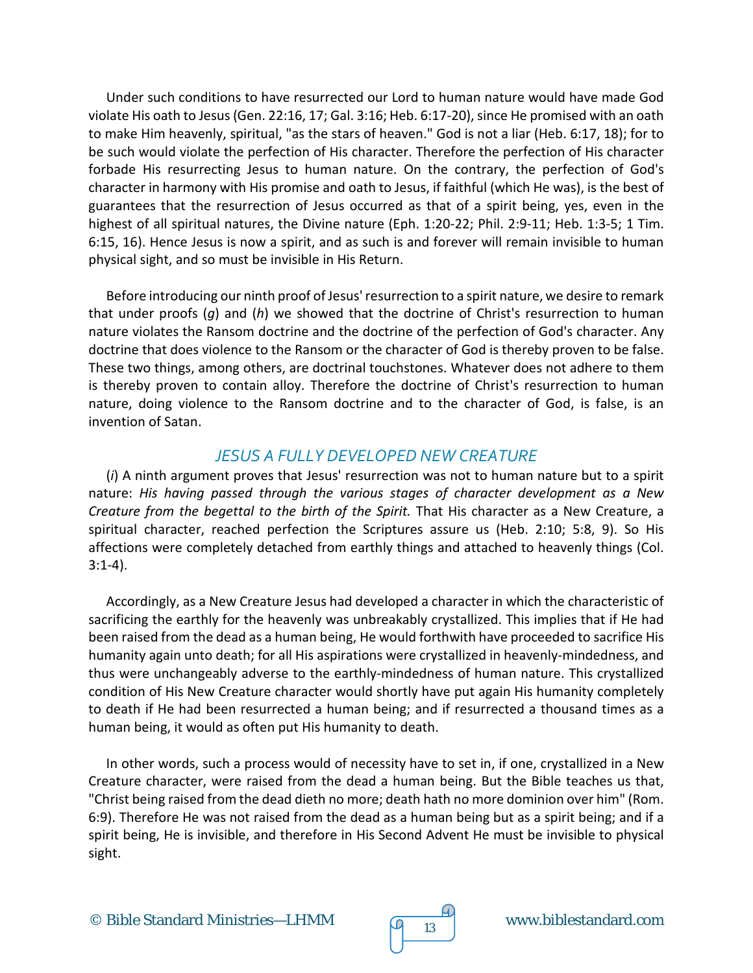Under such conditions to have resurrected our Lord to human nature would have made God violate His oath to Jesus (Gen. 22:16, 17; Gal. 3:16; Heb. 6:17-20), since He promised with an oath to make Him heavenly, spiritual, "as the stars of heaven." God is not a liar (Heb. 6:17, 18); for to be such would violate the perfection of His character. Therefore the perfection of His character forbade His resurrecting Jesus to human nature. On the contrary, the perfection of God's character in harmony with His promise and oath to Jesus, if faithful (which He was), is the best of guarantees that the resurrection of Jesus occurred as that of a spirit being, yes, even in the highest of all spiritual natures, the Divine nature (Eph. 1:20-22; Phil. 2:9-11; Heb. 1:3-5; 1 Tim. 6:15, 16). Hence Jesus is now a spirit, and as such is and forever will remain invisible to human physical sight, and so must be invisible in His Return.

Before introducing our ninth proof of Jesus' resurrection to a spirit nature, we desire to remark that under proofs (*g*) and (*h*) we showed that the doctrine of Christ's resurrection to human nature violates the Ransom doctrine and the doctrine of the perfection of God's character. Any doctrine that does violence to the Ransom or the character of God is thereby proven to be false. These two things, among others, are doctrinal touchstones. Whatever does not adhere to them is thereby proven to contain alloy. Therefore the doctrine of Christ's resurrection to human nature, doing violence to the Ransom doctrine and to the character of God, is false, is an invention of Satan.

#### *JESUS A FULLY DEVELOPED NEW CREATURE*

(*i*) A ninth argument proves that Jesus' resurrection was not to human nature but to a spirit nature: *His having passed through the various stages of character development as a New Creature from the begettal to the birth of the Spirit.* That His character as a New Creature, a spiritual character, reached perfection the Scriptures assure us (Heb. 2:10; 5:8, 9). So His affections were completely detached from earthly things and attached to heavenly things (Col. 3:1-4).

Accordingly, as a New Creature Jesus had developed a character in which the characteristic of sacrificing the earthly for the heavenly was unbreakably crystallized. This implies that if He had been raised from the dead as a human being, He would forthwith have proceeded to sacrifice His humanity again unto death; for all His aspirations were crystallized in heavenly-mindedness, and thus were unchangeably adverse to the earthly-mindedness of human nature. This crystallized condition of His New Creature character would shortly have put again His humanity completely to death if He had been resurrected a human being; and if resurrected a thousand times as a human being, it would as often put His humanity to death.

In other words, such a process would of necessity have to set in, if one, crystallized in a New Creature character, were raised from the dead a human being. But the Bible teaches us that, "Christ being raised from the dead dieth no more; death hath no more dominion over him" (Rom. 6:9). Therefore He was not raised from the dead as a human being but as a spirit being; and if a spirit being, He is invisible, and therefore in His Second Advent He must be invisible to physical sight.

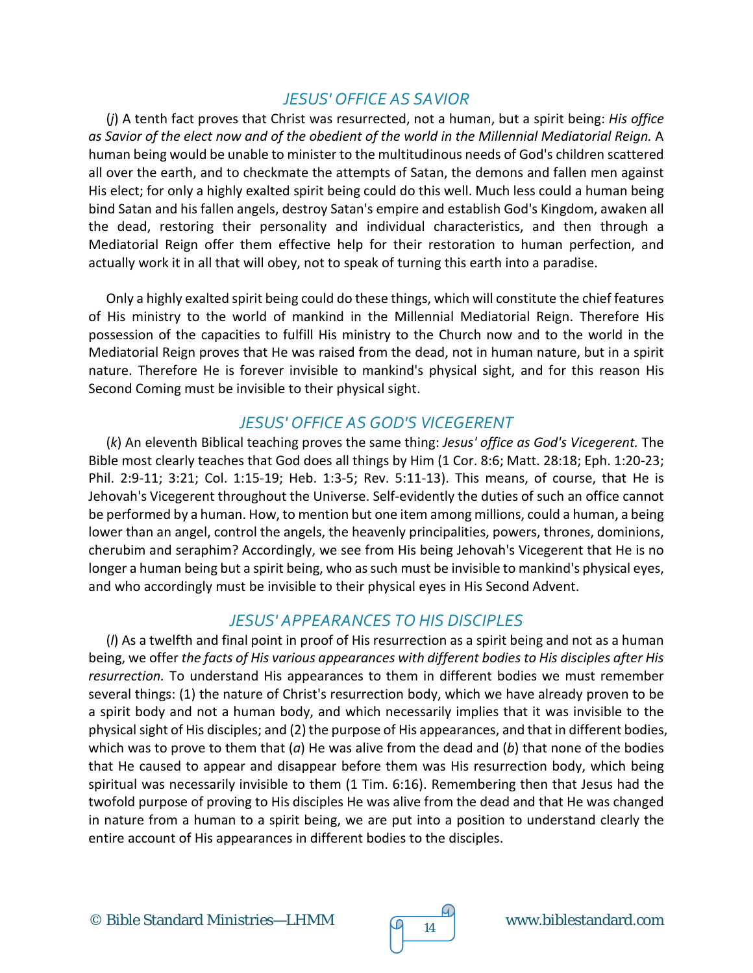#### *JESUS' OFFICE AS SAVIOR*

(*j*) A tenth fact proves that Christ was resurrected, not a human, but a spirit being: *His office as Savior of the elect now and of the obedient of the world in the Millennial Mediatorial Reign.* A human being would be unable to minister to the multitudinous needs of God's children scattered all over the earth, and to checkmate the attempts of Satan, the demons and fallen men against His elect; for only a highly exalted spirit being could do this well. Much less could a human being bind Satan and his fallen angels, destroy Satan's empire and establish God's Kingdom, awaken all the dead, restoring their personality and individual characteristics, and then through a Mediatorial Reign offer them effective help for their restoration to human perfection, and actually work it in all that will obey, not to speak of turning this earth into a paradise.

Only a highly exalted spirit being could do these things, which will constitute the chief features of His ministry to the world of mankind in the Millennial Mediatorial Reign. Therefore His possession of the capacities to fulfill His ministry to the Church now and to the world in the Mediatorial Reign proves that He was raised from the dead, not in human nature, but in a spirit nature. Therefore He is forever invisible to mankind's physical sight, and for this reason His Second Coming must be invisible to their physical sight.

#### *JESUS' OFFICE AS GOD'S VICEGERENT*

(*k*) An eleventh Biblical teaching proves the same thing: *Jesus' office as God's Vicegerent.* The Bible most clearly teaches that God does all things by Him (1 Cor. 8:6; Matt. 28:18; Eph. 1:20-23; Phil. 2:9-11; 3:21; Col. 1:15-19; Heb. 1:3-5; Rev. 5:11-13). This means, of course, that He is Jehovah's Vicegerent throughout the Universe. Self-evidently the duties of such an office cannot be performed by a human. How, to mention but one item among millions, could a human, a being lower than an angel, control the angels, the heavenly principalities, powers, thrones, dominions, cherubim and seraphim? Accordingly, we see from His being Jehovah's Vicegerent that He is no longer a human being but a spirit being, who as such must be invisible to mankind's physical eyes, and who accordingly must be invisible to their physical eyes in His Second Advent.

#### *JESUS' APPEARANCES TO HIS DISCIPLES*

(*l*) As a twelfth and final point in proof of His resurrection as a spirit being and not as a human being, we offer *the facts of His various appearances with different bodies to His disciples after His resurrection.* To understand His appearances to them in different bodies we must remember several things: (1) the nature of Christ's resurrection body, which we have already proven to be a spirit body and not a human body, and which necessarily implies that it was invisible to the physical sight of His disciples; and (2) the purpose of His appearances, and that in different bodies, which was to prove to them that (*a*) He was alive from the dead and (*b*) that none of the bodies that He caused to appear and disappear before them was His resurrection body, which being spiritual was necessarily invisible to them (1 Tim. 6:16). Remembering then that Jesus had the twofold purpose of proving to His disciples He was alive from the dead and that He was changed in nature from a human to a spirit being, we are put into a position to understand clearly the entire account of His appearances in different bodies to the disciples.

© Bible Standard Ministries—LHMM  $\sqrt{q}$  14 www.biblestandard.com

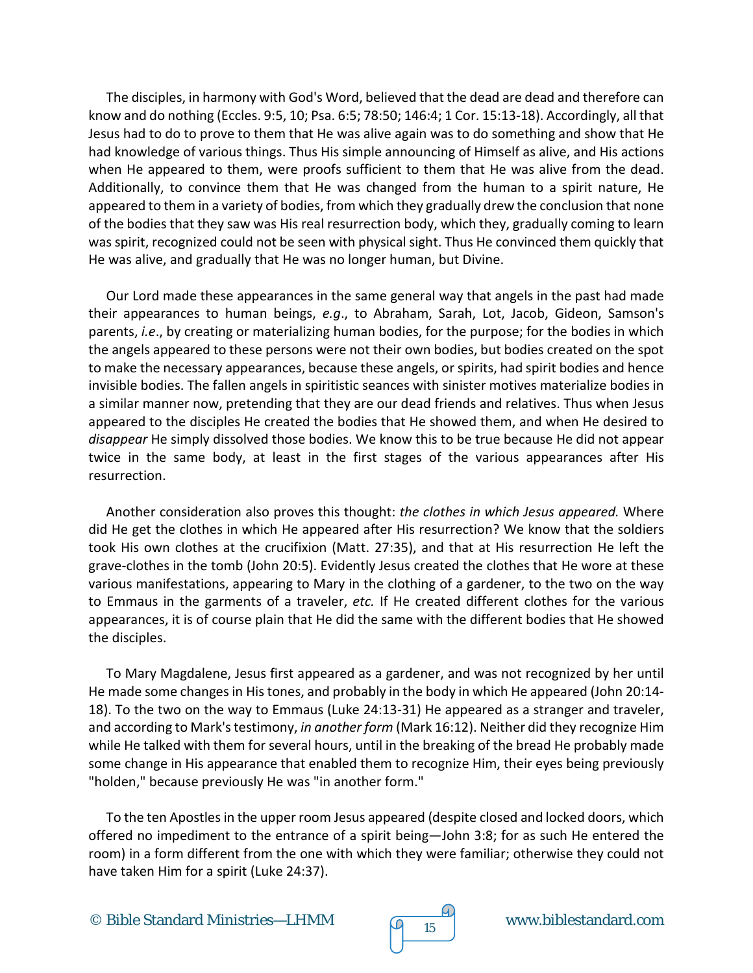The disciples, in harmony with God's Word, believed that the dead are dead and therefore can know and do nothing (Eccles. 9:5, 10; Psa. 6:5; 78:50; 146:4; 1 Cor. 15:13-18). Accordingly, all that Jesus had to do to prove to them that He was alive again was to do something and show that He had knowledge of various things. Thus His simple announcing of Himself as alive, and His actions when He appeared to them, were proofs sufficient to them that He was alive from the dead. Additionally, to convince them that He was changed from the human to a spirit nature, He appeared to them in a variety of bodies, from which they gradually drew the conclusion that none of the bodies that they saw was His real resurrection body, which they, gradually coming to learn was spirit, recognized could not be seen with physical sight. Thus He convinced them quickly that He was alive, and gradually that He was no longer human, but Divine.

Our Lord made these appearances in the same general way that angels in the past had made their appearances to human beings, *e.g*., to Abraham, Sarah, Lot, Jacob, Gideon, Samson's parents, *i.e*., by creating or materializing human bodies, for the purpose; for the bodies in which the angels appeared to these persons were not their own bodies, but bodies created on the spot to make the necessary appearances, because these angels, or spirits, had spirit bodies and hence invisible bodies. The fallen angels in spiritistic seances with sinister motives materialize bodies in a similar manner now, pretending that they are our dead friends and relatives. Thus when Jesus appeared to the disciples He created the bodies that He showed them, and when He desired to *disappear* He simply dissolved those bodies. We know this to be true because He did not appear twice in the same body, at least in the first stages of the various appearances after His resurrection.

Another consideration also proves this thought: *the clothes in which Jesus appeared.* Where did He get the clothes in which He appeared after His resurrection? We know that the soldiers took His own clothes at the crucifixion (Matt. 27:35), and that at His resurrection He left the grave-clothes in the tomb (John 20:5). Evidently Jesus created the clothes that He wore at these various manifestations, appearing to Mary in the clothing of a gardener, to the two on the way to Emmaus in the garments of a traveler, *etc.* If He created different clothes for the various appearances, it is of course plain that He did the same with the different bodies that He showed the disciples.

To Mary Magdalene, Jesus first appeared as a gardener, and was not recognized by her until He made some changes in His tones, and probably in the body in which He appeared (John 20:14- 18). To the two on the way to Emmaus (Luke 24:13-31) He appeared as a stranger and traveler, and according to Mark's testimony, *in another form* (Mark 16:12). Neither did they recognize Him while He talked with them for several hours, until in the breaking of the bread He probably made some change in His appearance that enabled them to recognize Him, their eyes being previously "holden," because previously He was "in another form."

To the ten Apostles in the upper room Jesus appeared (despite closed and locked doors, which offered no impediment to the entrance of a spirit being—John 3:8; for as such He entered the room) in a form different from the one with which they were familiar; otherwise they could not have taken Him for a spirit (Luke 24:37).

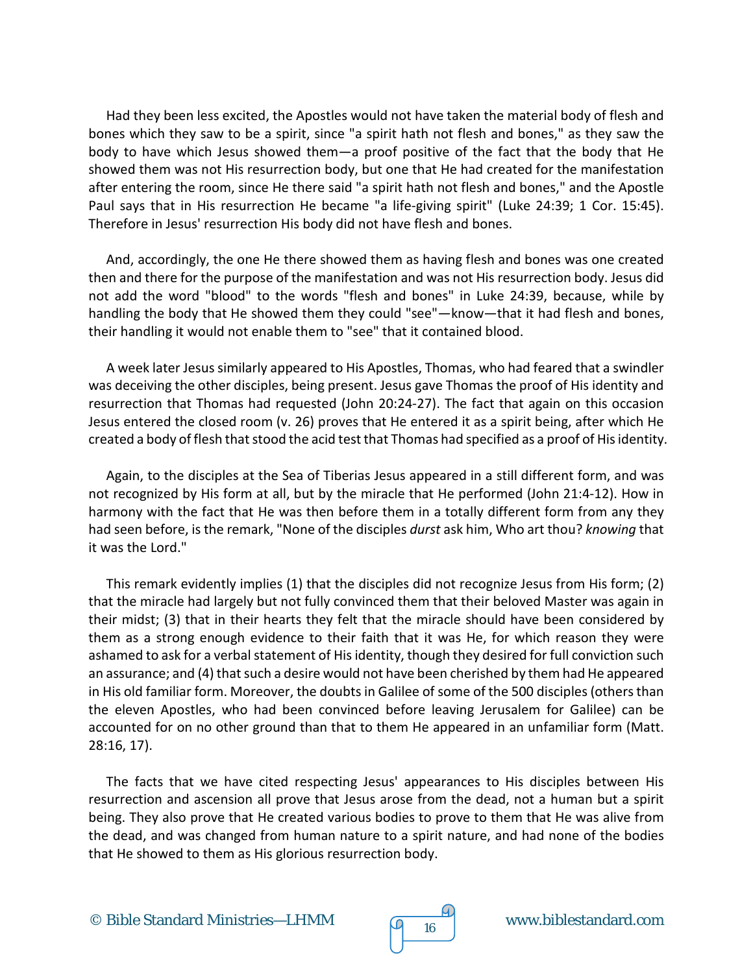Had they been less excited, the Apostles would not have taken the material body of flesh and bones which they saw to be a spirit, since "a spirit hath not flesh and bones," as they saw the body to have which Jesus showed them—a proof positive of the fact that the body that He showed them was not His resurrection body, but one that He had created for the manifestation after entering the room, since He there said "a spirit hath not flesh and bones," and the Apostle Paul says that in His resurrection He became "a life-giving spirit" (Luke 24:39; 1 Cor. 15:45). Therefore in Jesus' resurrection His body did not have flesh and bones.

And, accordingly, the one He there showed them as having flesh and bones was one created then and there for the purpose of the manifestation and was not His resurrection body. Jesus did not add the word "blood" to the words "flesh and bones" in Luke 24:39, because, while by handling the body that He showed them they could "see"—know—that it had flesh and bones, their handling it would not enable them to "see" that it contained blood.

A week later Jesus similarly appeared to His Apostles, Thomas, who had feared that a swindler was deceiving the other disciples, being present. Jesus gave Thomas the proof of His identity and resurrection that Thomas had requested (John 20:24-27). The fact that again on this occasion Jesus entered the closed room (v. 26) proves that He entered it as a spirit being, after which He created a body of flesh that stood the acid test that Thomas had specified as a proof of His identity.

Again, to the disciples at the Sea of Tiberias Jesus appeared in a still different form, and was not recognized by His form at all, but by the miracle that He performed (John 21:4-12). How in harmony with the fact that He was then before them in a totally different form from any they had seen before, is the remark, "None of the disciples *durst* ask him, Who art thou? *knowing* that it was the Lord."

This remark evidently implies (1) that the disciples did not recognize Jesus from His form; (2) that the miracle had largely but not fully convinced them that their beloved Master was again in their midst; (3) that in their hearts they felt that the miracle should have been considered by them as a strong enough evidence to their faith that it was He, for which reason they were ashamed to ask for a verbal statement of His identity, though they desired for full conviction such an assurance; and (4) that such a desire would not have been cherished by them had He appeared in His old familiar form. Moreover, the doubts in Galilee of some of the 500 disciples (others than the eleven Apostles, who had been convinced before leaving Jerusalem for Galilee) can be accounted for on no other ground than that to them He appeared in an unfamiliar form (Matt. 28:16, 17).

The facts that we have cited respecting Jesus' appearances to His disciples between His resurrection and ascension all prove that Jesus arose from the dead, not a human but a spirit being. They also prove that He created various bodies to prove to them that He was alive from the dead, and was changed from human nature to a spirit nature, and had none of the bodies that He showed to them as His glorious resurrection body.